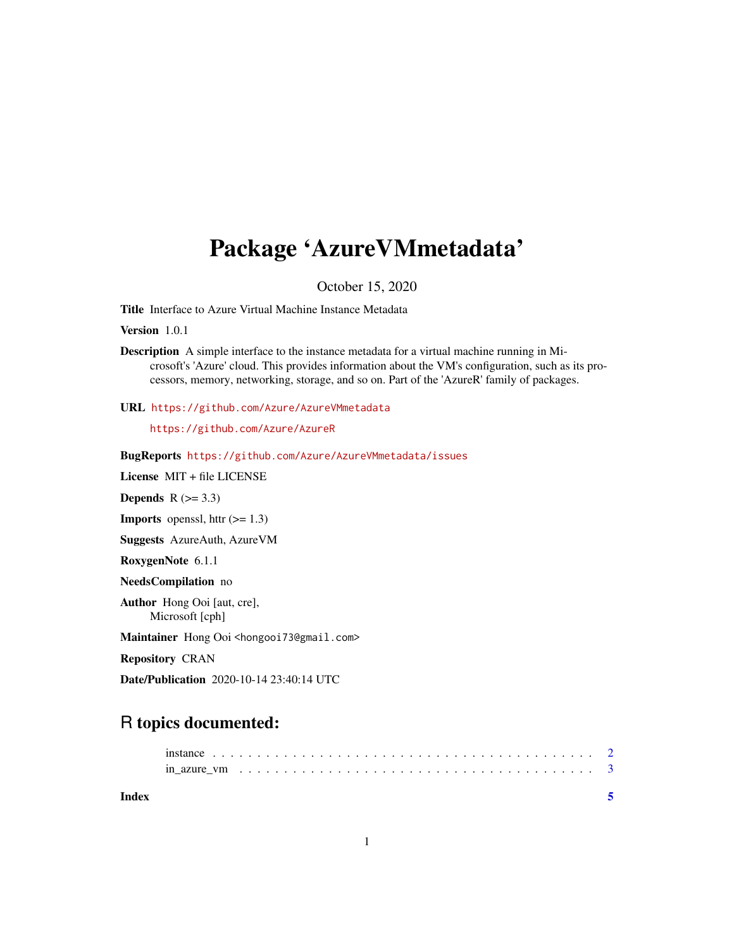## <span id="page-0-0"></span>Package 'AzureVMmetadata'

October 15, 2020

Title Interface to Azure Virtual Machine Instance Metadata

Version 1.0.1

URL <https://github.com/Azure/AzureVMmetadata>

<https://github.com/Azure/AzureR>

BugReports <https://github.com/Azure/AzureVMmetadata/issues>

License MIT + file LICENSE

Depends  $R$  ( $>= 3.3$ )

**Imports** openssl, httr  $(>= 1.3)$ 

Suggests AzureAuth, AzureVM

RoxygenNote 6.1.1

NeedsCompilation no

Author Hong Ooi [aut, cre], Microsoft [cph]

Maintainer Hong Ooi <hongooi73@gmail.com>

Repository CRAN

Date/Publication 2020-10-14 23:40:14 UTC

### R topics documented:

|       | in azure vm $\dots \dots \dots \dots \dots \dots \dots \dots \dots \dots \dots \dots \dots \dots \dots \dots \dots$ |  |  |  |  |  |  |  |  |  |  |  |  |  |  |  |  |  |
|-------|---------------------------------------------------------------------------------------------------------------------|--|--|--|--|--|--|--|--|--|--|--|--|--|--|--|--|--|
| Index |                                                                                                                     |  |  |  |  |  |  |  |  |  |  |  |  |  |  |  |  |  |

Description A simple interface to the instance metadata for a virtual machine running in Microsoft's 'Azure' cloud. This provides information about the VM's configuration, such as its processors, memory, networking, storage, and so on. Part of the 'AzureR' family of packages.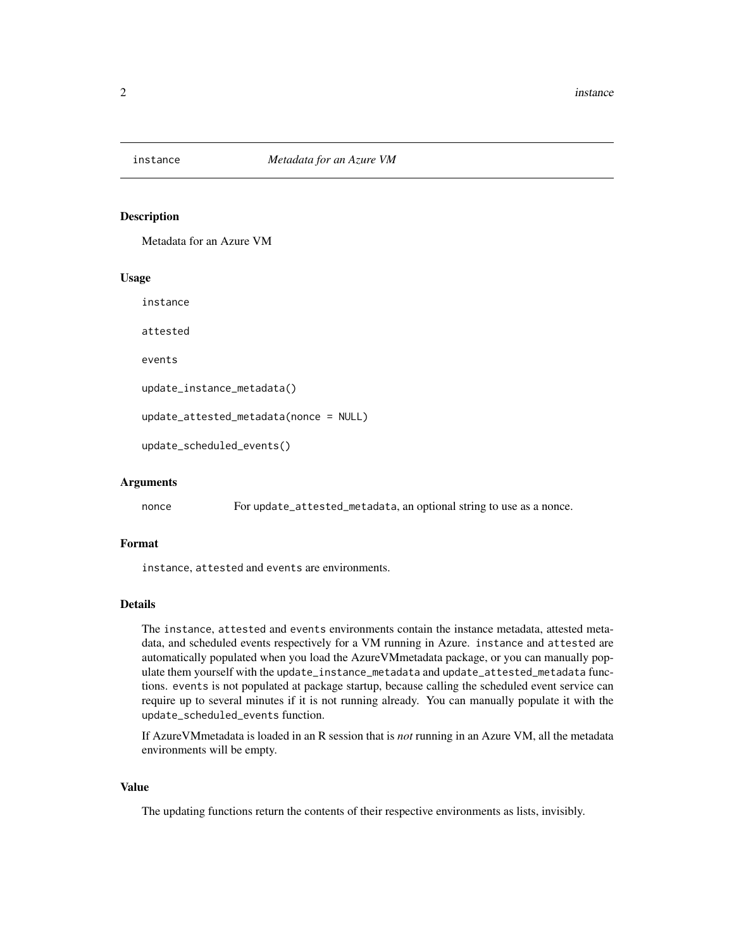<span id="page-1-0"></span>

#### Description

Metadata for an Azure VM

#### Usage

instance

attested

events

```
update_instance_metadata()
```
update\_attested\_metadata(nonce = NULL)

```
update_scheduled_events()
```
#### Arguments

nonce For update\_attested\_metadata, an optional string to use as a nonce.

#### Format

instance, attested and events are environments.

#### Details

The instance, attested and events environments contain the instance metadata, attested metadata, and scheduled events respectively for a VM running in Azure. instance and attested are automatically populated when you load the AzureVMmetadata package, or you can manually populate them yourself with the update\_instance\_metadata and update\_attested\_metadata functions. events is not populated at package startup, because calling the scheduled event service can require up to several minutes if it is not running already. You can manually populate it with the update\_scheduled\_events function.

If AzureVMmetadata is loaded in an R session that is *not* running in an Azure VM, all the metadata environments will be empty.

#### Value

The updating functions return the contents of their respective environments as lists, invisibly.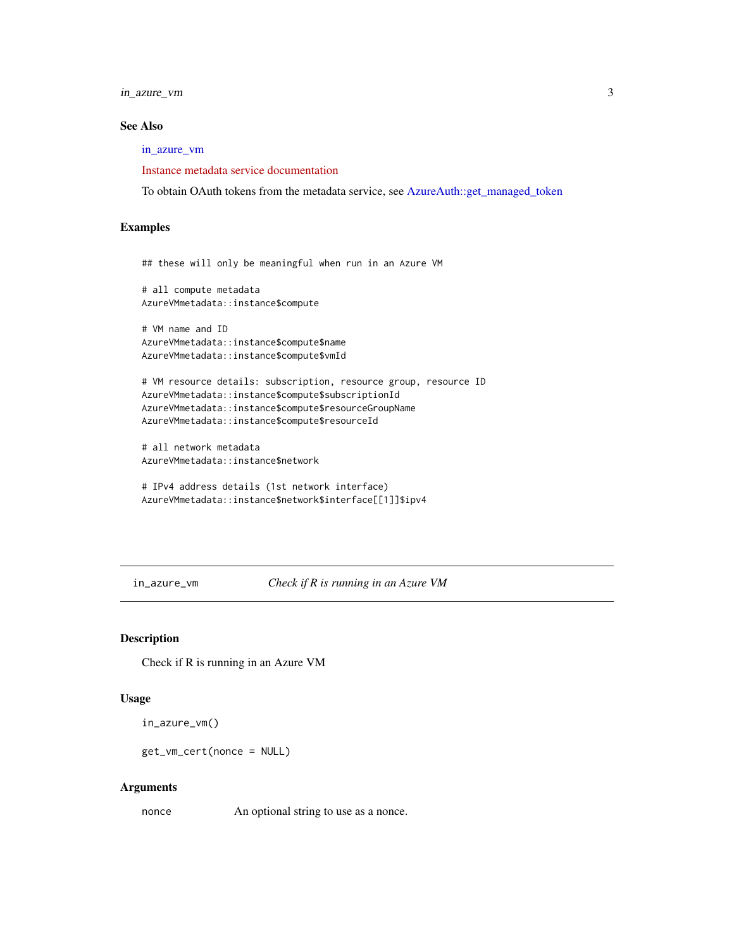<span id="page-2-0"></span>in\_azure\_vm 3

#### See Also

[in\\_azure\\_vm](#page-2-1)

[Instance metadata service documentation](https://docs.microsoft.com/en-us/azure/virtual-machines/windows/instance-metadata-service)

To obtain OAuth tokens from the metadata service, see [AzureAuth::get\\_managed\\_token](#page-0-0)

#### Examples

```
## these will only be meaningful when run in an Azure VM
# all compute metadata
AzureVMmetadata::instance$compute
# VM name and ID
AzureVMmetadata::instance$compute$name
AzureVMmetadata::instance$compute$vmId
# VM resource details: subscription, resource group, resource ID
AzureVMmetadata::instance$compute$subscriptionId
AzureVMmetadata::instance$compute$resourceGroupName
AzureVMmetadata::instance$compute$resourceId
# all network metadata
```
AzureVMmetadata::instance\$network

```
# IPv4 address details (1st network interface)
AzureVMmetadata::instance$network$interface[[1]]$ipv4
```
<span id="page-2-1"></span>in\_azure\_vm *Check if R is running in an Azure VM*

#### Description

Check if R is running in an Azure VM

#### Usage

```
in_azure_vm()
```
get\_vm\_cert(nonce = NULL)

#### Arguments

nonce An optional string to use as a nonce.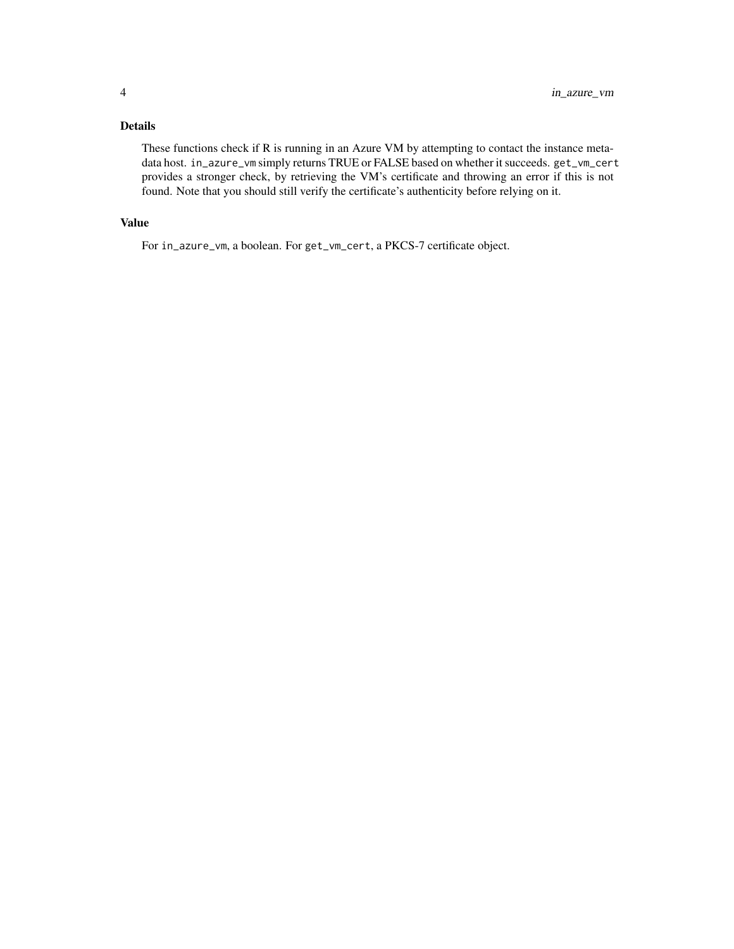#### Details

These functions check if R is running in an Azure VM by attempting to contact the instance metadata host. in\_azure\_vm simply returns TRUE or FALSE based on whether it succeeds. get\_vm\_cert provides a stronger check, by retrieving the VM's certificate and throwing an error if this is not found. Note that you should still verify the certificate's authenticity before relying on it.

#### Value

For in\_azure\_vm, a boolean. For get\_vm\_cert, a PKCS-7 certificate object.